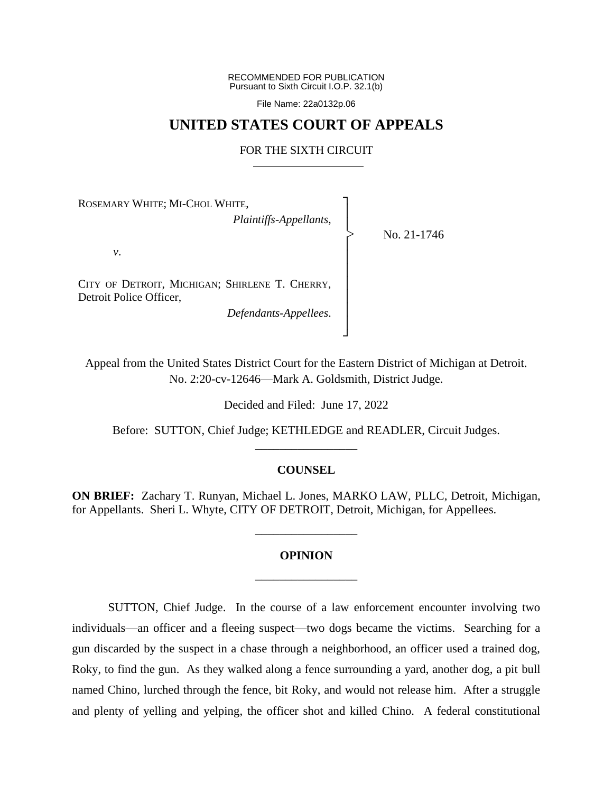RECOMMENDED FOR PUBLICATION Pursuant to Sixth Circuit I.O.P. 32.1(b)

File Name: 22a0132p.06

## **UNITED STATES COURT OF APPEALS**

## FOR THE SIXTH CIRCUIT

┐ │ │ │ │ │ │ │ │ │ ┘

|<br>|<br>|

ROSEMARY WHITE; MI-CHOL WHITE,

*Plaintiffs-Appellants*,

No. 21-1746

*v*.

CITY OF DETROIT, MICHIGAN; SHIRLENE T. CHERRY, Detroit Police Officer,

*Defendants-Appellees*.

Appeal from the United States District Court for the Eastern District of Michigan at Detroit. No. 2:20-cv-12646—Mark A. Goldsmith, District Judge.

Decided and Filed: June 17, 2022

Before: SUTTON, Chief Judge; KETHLEDGE and READLER, Circuit Judges. \_\_\_\_\_\_\_\_\_\_\_\_\_\_\_\_\_

## **COUNSEL**

**ON BRIEF:** Zachary T. Runyan, Michael L. Jones, MARKO LAW, PLLC, Detroit, Michigan, for Appellants. Sheri L. Whyte, CITY OF DETROIT, Detroit, Michigan, for Appellees.

## **OPINION** \_\_\_\_\_\_\_\_\_\_\_\_\_\_\_\_\_

\_\_\_\_\_\_\_\_\_\_\_\_\_\_\_\_\_

SUTTON, Chief Judge. In the course of a law enforcement encounter involving two individuals—an officer and a fleeing suspect—two dogs became the victims. Searching for a gun discarded by the suspect in a chase through a neighborhood, an officer used a trained dog, Roky, to find the gun. As they walked along a fence surrounding a yard, another dog, a pit bull named Chino, lurched through the fence, bit Roky, and would not release him. After a struggle and plenty of yelling and yelping, the officer shot and killed Chino. A federal constitutional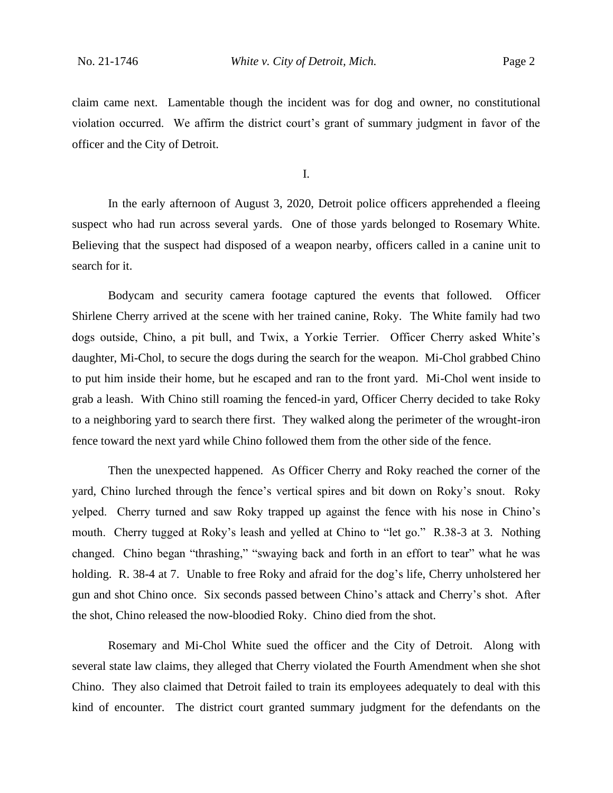claim came next. Lamentable though the incident was for dog and owner, no constitutional violation occurred. We affirm the district court's grant of summary judgment in favor of the officer and the City of Detroit.

I.

In the early afternoon of August 3, 2020, Detroit police officers apprehended a fleeing suspect who had run across several yards. One of those yards belonged to Rosemary White. Believing that the suspect had disposed of a weapon nearby, officers called in a canine unit to search for it.

Bodycam and security camera footage captured the events that followed. Officer Shirlene Cherry arrived at the scene with her trained canine, Roky. The White family had two dogs outside, Chino, a pit bull, and Twix, a Yorkie Terrier. Officer Cherry asked White's daughter, Mi-Chol, to secure the dogs during the search for the weapon. Mi-Chol grabbed Chino to put him inside their home, but he escaped and ran to the front yard. Mi-Chol went inside to grab a leash. With Chino still roaming the fenced-in yard, Officer Cherry decided to take Roky to a neighboring yard to search there first. They walked along the perimeter of the wrought-iron fence toward the next yard while Chino followed them from the other side of the fence.

Then the unexpected happened. As Officer Cherry and Roky reached the corner of the yard, Chino lurched through the fence's vertical spires and bit down on Roky's snout. Roky yelped. Cherry turned and saw Roky trapped up against the fence with his nose in Chino's mouth. Cherry tugged at Roky's leash and yelled at Chino to "let go." R.38-3 at 3. Nothing changed. Chino began "thrashing," "swaying back and forth in an effort to tear" what he was holding. R. 38-4 at 7. Unable to free Roky and afraid for the dog's life, Cherry unholstered her gun and shot Chino once. Six seconds passed between Chino's attack and Cherry's shot. After the shot, Chino released the now-bloodied Roky. Chino died from the shot.

Rosemary and Mi-Chol White sued the officer and the City of Detroit. Along with several state law claims, they alleged that Cherry violated the Fourth Amendment when she shot Chino. They also claimed that Detroit failed to train its employees adequately to deal with this kind of encounter. The district court granted summary judgment for the defendants on the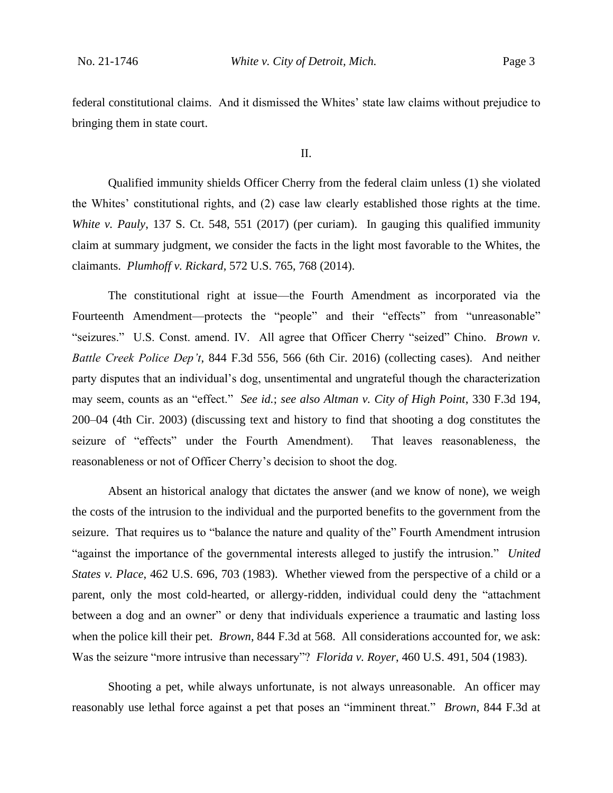federal constitutional claims. And it dismissed the Whites' state law claims without prejudice to bringing them in state court.

II.

Qualified immunity shields Officer Cherry from the federal claim unless (1) she violated the Whites' constitutional rights, and (2) case law clearly established those rights at the time. *White v. Pauly*, 137 S. Ct. 548, 551 (2017) (per curiam). In gauging this qualified immunity claim at summary judgment, we consider the facts in the light most favorable to the Whites, the claimants. *Plumhoff v. Rickard*, 572 U.S. 765, 768 (2014).

The constitutional right at issue—the Fourth Amendment as incorporated via the Fourteenth Amendment—protects the "people" and their "effects" from "unreasonable" "seizures." U.S. Const. amend. IV. All agree that Officer Cherry "seized" Chino. *Brown v. Battle Creek Police Dep't*, 844 F.3d 556, 566 (6th Cir. 2016) (collecting cases). And neither party disputes that an individual's dog, unsentimental and ungrateful though the characterization may seem, counts as an "effect." *See id.*; *see also Altman v. City of High Point*, 330 F.3d 194, 200–04 (4th Cir. 2003) (discussing text and history to find that shooting a dog constitutes the seizure of "effects" under the Fourth Amendment). That leaves reasonableness, the reasonableness or not of Officer Cherry's decision to shoot the dog.

Absent an historical analogy that dictates the answer (and we know of none), we weigh the costs of the intrusion to the individual and the purported benefits to the government from the seizure. That requires us to "balance the nature and quality of the" Fourth Amendment intrusion "against the importance of the governmental interests alleged to justify the intrusion." *United States v. Place*, 462 U.S. 696, 703 (1983). Whether viewed from the perspective of a child or a parent, only the most cold-hearted, or allergy-ridden, individual could deny the "attachment between a dog and an owner" or deny that individuals experience a traumatic and lasting loss when the police kill their pet. *Brown*, 844 F.3d at 568. All considerations accounted for, we ask: Was the seizure "more intrusive than necessary"? *Florida v. Royer*, 460 U.S. 491, 504 (1983).

Shooting a pet, while always unfortunate, is not always unreasonable. An officer may reasonably use lethal force against a pet that poses an "imminent threat." *Brown*, 844 F.3d at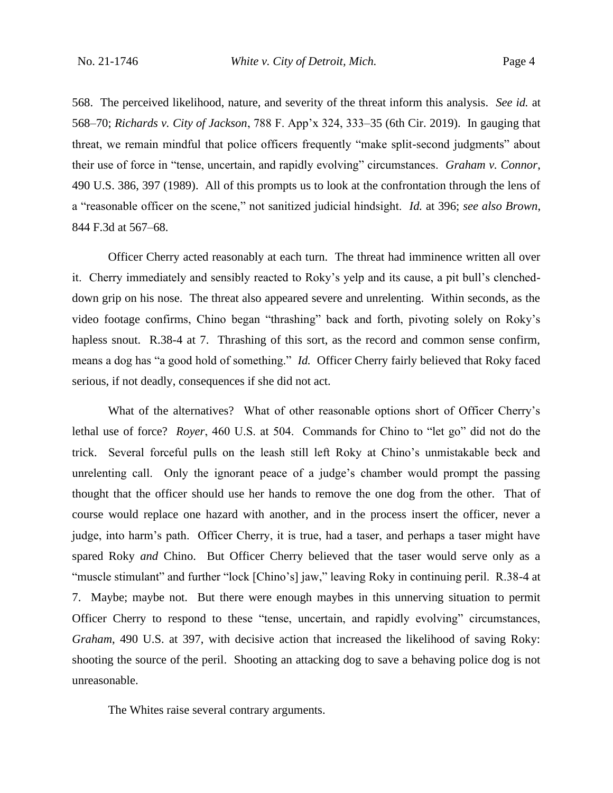568. The perceived likelihood, nature, and severity of the threat inform this analysis. *See id.* at 568–70; *Richards v. City of Jackson*, 788 F. App'x 324, 333–35 (6th Cir. 2019). In gauging that threat, we remain mindful that police officers frequently "make split-second judgments" about their use of force in "tense, uncertain, and rapidly evolving" circumstances. *Graham v. Connor*, 490 U.S. 386, 397 (1989). All of this prompts us to look at the confrontation through the lens of a "reasonable officer on the scene," not sanitized judicial hindsight. *Id.* at 396; *see also Brown*, 844 F.3d at 567–68.

Officer Cherry acted reasonably at each turn. The threat had imminence written all over it. Cherry immediately and sensibly reacted to Roky's yelp and its cause, a pit bull's clencheddown grip on his nose. The threat also appeared severe and unrelenting. Within seconds, as the video footage confirms, Chino began "thrashing" back and forth, pivoting solely on Roky's hapless snout. R.38-4 at 7. Thrashing of this sort, as the record and common sense confirm, means a dog has "a good hold of something." *Id.* Officer Cherry fairly believed that Roky faced serious, if not deadly, consequences if she did not act.

What of the alternatives? What of other reasonable options short of Officer Cherry's lethal use of force? *Royer*, 460 U.S. at 504. Commands for Chino to "let go" did not do the trick. Several forceful pulls on the leash still left Roky at Chino's unmistakable beck and unrelenting call. Only the ignorant peace of a judge's chamber would prompt the passing thought that the officer should use her hands to remove the one dog from the other. That of course would replace one hazard with another, and in the process insert the officer, never a judge, into harm's path. Officer Cherry, it is true, had a taser, and perhaps a taser might have spared Roky *and* Chino. But Officer Cherry believed that the taser would serve only as a "muscle stimulant" and further "lock [Chino's] jaw," leaving Roky in continuing peril. R.38-4 at 7. Maybe; maybe not. But there were enough maybes in this unnerving situation to permit Officer Cherry to respond to these "tense, uncertain, and rapidly evolving" circumstances, *Graham*, 490 U.S. at 397, with decisive action that increased the likelihood of saving Roky: shooting the source of the peril. Shooting an attacking dog to save a behaving police dog is not unreasonable.

The Whites raise several contrary arguments.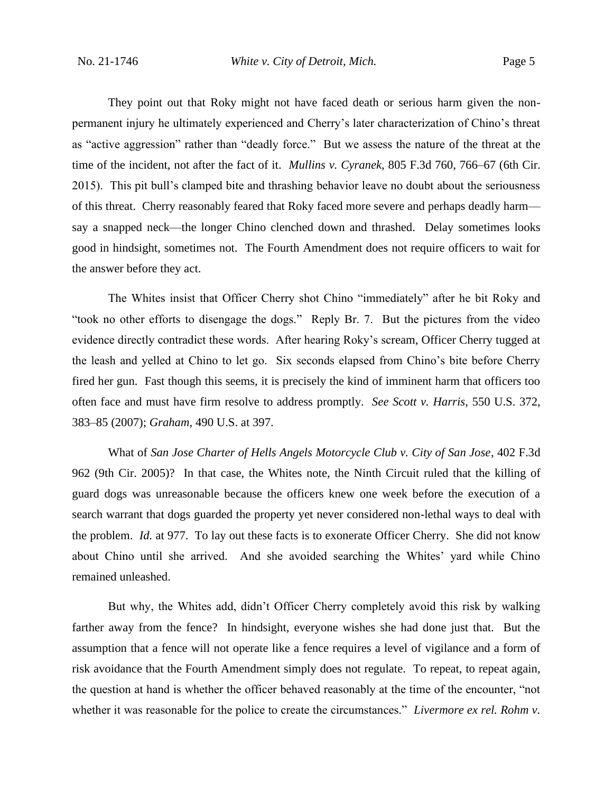They point out that Roky might not have faced death or serious harm given the nonpermanent injury he ultimately experienced and Cherry's later characterization of Chino's threat as "active aggression" rather than "deadly force." But we assess the nature of the threat at the time of the incident, not after the fact of it. *Mullins v. Cyranek*, 805 F.3d 760, 766–67 (6th Cir. 2015). This pit bull's clamped bite and thrashing behavior leave no doubt about the seriousness of this threat. Cherry reasonably feared that Roky faced more severe and perhaps deadly harm say a snapped neck—the longer Chino clenched down and thrashed. Delay sometimes looks good in hindsight, sometimes not. The Fourth Amendment does not require officers to wait for the answer before they act.

The Whites insist that Officer Cherry shot Chino "immediately" after he bit Roky and "took no other efforts to disengage the dogs." Reply Br. 7. But the pictures from the video evidence directly contradict these words. After hearing Roky's scream, Officer Cherry tugged at the leash and yelled at Chino to let go. Six seconds elapsed from Chino's bite before Cherry fired her gun. Fast though this seems, it is precisely the kind of imminent harm that officers too often face and must have firm resolve to address promptly. *See Scott v. Harris*, 550 U.S. 372, 383–85 (2007); *Graham*, 490 U.S. at 397.

What of *San Jose Charter of Hells Angels Motorcycle Club v. City of San Jose*, 402 F.3d 962 (9th Cir. 2005)? In that case, the Whites note, the Ninth Circuit ruled that the killing of guard dogs was unreasonable because the officers knew one week before the execution of a search warrant that dogs guarded the property yet never considered non-lethal ways to deal with the problem. *Id.* at 977. To lay out these facts is to exonerate Officer Cherry. She did not know about Chino until she arrived. And she avoided searching the Whites' yard while Chino remained unleashed.

But why, the Whites add, didn't Officer Cherry completely avoid this risk by walking farther away from the fence? In hindsight, everyone wishes she had done just that. But the assumption that a fence will not operate like a fence requires a level of vigilance and a form of risk avoidance that the Fourth Amendment simply does not regulate. To repeat, to repeat again, the question at hand is whether the officer behaved reasonably at the time of the encounter, "not whether it was reasonable for the police to create the circumstances." *Livermore ex rel. Rohm v.*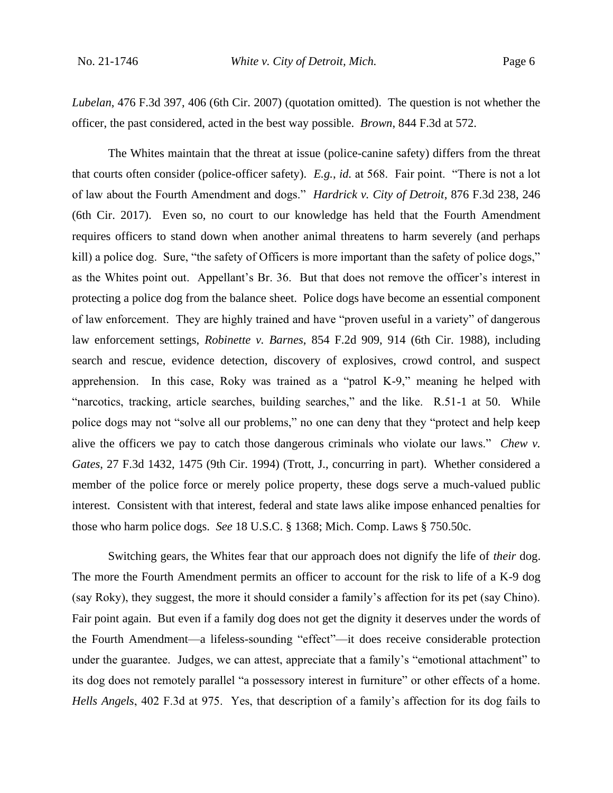*Lubelan*, 476 F.3d 397, 406 (6th Cir. 2007) (quotation omitted). The question is not whether the officer, the past considered, acted in the best way possible. *Brown*, 844 F.3d at 572.

The Whites maintain that the threat at issue (police-canine safety) differs from the threat that courts often consider (police-officer safety). *E.g.*, *id.* at 568. Fair point. "There is not a lot of law about the Fourth Amendment and dogs." *Hardrick v. City of Detroit*, 876 F.3d 238, 246 (6th Cir. 2017). Even so, no court to our knowledge has held that the Fourth Amendment requires officers to stand down when another animal threatens to harm severely (and perhaps kill) a police dog. Sure, "the safety of Officers is more important than the safety of police dogs," as the Whites point out. Appellant's Br. 36. But that does not remove the officer's interest in protecting a police dog from the balance sheet. Police dogs have become an essential component of law enforcement. They are highly trained and have "proven useful in a variety" of dangerous law enforcement settings, *Robinette v. Barnes*, 854 F.2d 909, 914 (6th Cir. 1988), including search and rescue, evidence detection, discovery of explosives, crowd control, and suspect apprehension. In this case, Roky was trained as a "patrol K-9," meaning he helped with "narcotics, tracking, article searches, building searches," and the like. R.51-1 at 50. While police dogs may not "solve all our problems," no one can deny that they "protect and help keep alive the officers we pay to catch those dangerous criminals who violate our laws." *Chew v. Gates*, 27 F.3d 1432, 1475 (9th Cir. 1994) (Trott, J., concurring in part). Whether considered a member of the police force or merely police property, these dogs serve a much-valued public interest. Consistent with that interest, federal and state laws alike impose enhanced penalties for those who harm police dogs. *See* 18 U.S.C. § 1368; Mich. Comp. Laws § 750.50c.

Switching gears, the Whites fear that our approach does not dignify the life of *their* dog. The more the Fourth Amendment permits an officer to account for the risk to life of a K-9 dog (say Roky), they suggest, the more it should consider a family's affection for its pet (say Chino). Fair point again. But even if a family dog does not get the dignity it deserves under the words of the Fourth Amendment—a lifeless-sounding "effect"—it does receive considerable protection under the guarantee. Judges, we can attest, appreciate that a family's "emotional attachment" to its dog does not remotely parallel "a possessory interest in furniture" or other effects of a home. *Hells Angels*, 402 F.3d at 975. Yes, that description of a family's affection for its dog fails to